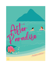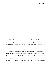*This is the first time that researcher Meg Hannady has been seen in eight years. Though numerous reports have placed her throughout the Himalayas, all attempts to make contact with her failed, earning her the moniker, The Yarlung Yeti. When I sat down with her, she made me a coffee, sweetened with a generous helping of condensed milk.*

"Is that the article?" Lucas asks, leaning over my shoulder and pressing his cheek to mine.

I nod. "He found Meg Hannady. I can't believe it." I trace a line over the picture of the mythical woman that Felix spent the last year trying to reach, at Sadie's behest. Lucas and I weren't the only people Sadie'd made plans for. Her husband had thrown himself into work, but he ended up hurtling into an emotional abyss for two years. And then her letter arrived. An assignment. An un-gettable get. Meg Hannady was a microbiologist at Harvard who left for a trip to Kathmandu and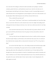never came back. Her colleagues at Harvard would occasionally receive packages--styrofoam containers, packed with dry ice, and handwritten research notes--that led to the discovery of a bacterial species that held hope for the future of humans on earth. It consumed high amounts of carbon dioxide and was now being piloted in systems designed to scrub excess carbon dioxide out of the atmosphere. Before Sadie had gotten sick, she'd been obsessed with the story.

"Do you think he'll come back now?"

I turn to Lucas. "I don't know." I don't mean to sound downtrodden, but I miss Felix. Sadie tied us to each other with her love in the end and I want to know he's alright. Surrounding myself with people who knew her helps me feel close to her. And, I am an older sister after all...I can't help worrying.

Lucas smooths the hair from my face. "How about this? Let's go back to Saba for a bit. I'll get in touch with Felix and let him know that we're going to be there and send him a ticket. It's worth a try, right?"

I look up at him, this man who helped me learn how brave I could be, with his strong arms that feel just right circling me, and his kind eyes that smile better than anyone else ever could, and his jet black hair that sometimes falls over them after he's showered. I nod. "Yes. Let's go back to Saba."

It's not that I don't like Taipei. I love it. The rolling mountains and colorful cityscape visible from our balcony are breathtaking. The people and the food are incredible. My Mandarin is improving, albeit slowly. But nothing will ever be like Saba for me. It's where Sadie and I flew through the air, where she got married on a beach in a beautiful lace gown made by Laurentina, and where we laid her to rest. It's where I found myself and met Lucas. It's my whole life and heart on a tiny speak in the ocean. And that makes it home. I press my lips to Lucas's, lingering there. He smiles against my mouth.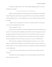"I thought you might say that," he says. "They're already prepping the plane. We can leave first thing in the morning."

## \*\*\*\*\*\*\*\*\*\*\*\*\*\*\*\*\*\*\*\*\*\*\*\*\*\*\*\*\*\*\*\*\*\*\*\*\*\*\*\*\*\*\*

While Lucas sold the airline after I left Saba and reinvested in making a line of eco-friendly retreats throughout the world, he kept a private plane. We're on it more often than I would like, if I'm being completely honest -- I never completely got over my fear of flying. I still get nervous, but Lucas helps.

"Alright, we're all set. The pilot says we can leave in a couple of minutes," he says, leaning over me. "Can I do anything for you?" he asks.

"Put the sunglasses on," I ask.

He slides the aviator shades he wore that entire first plane ride to Saba on and drops into the seat next to me. The plane jostles just slightly as the pilot backs away from the hanger. Lucas twines his fingers through mine. His hands are warm. This is our routine. Because Lucas knows that the takeoff is the hard part for me and usually is the time when I think maybe I ought to wrestle the door open and fling myself out onto the tarmac. He leans close to my neck. "Nǐ hái hǎo ma?"

Who knew that my wonderful, sexy boyfriend asking if I am okay in a low voice would defeat my usual takeoff freak out? Well, of course, *he* did. He just gets me. I graze my teeth over my lower lip. "Hǎo," I say, just as the plane lifts off. The sun is cresting over the hills in the distance and the sky is brilliant blue.

"You know," Lucas says, a grin teasing at the corner of his mouth. "I think you're in the wrong seat."

"Oh really?" I say. That was supposed to be my line in this little game we play. He reaches down and releases my seat belt.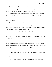"Zhēnde." He is trying hard to maintain his serious expression, but his lips are playful, and his eyes are a mixture of happiness and heat. He slides a hand around my waist and draws me into his lap. "You usually sit here on the flight to Saba, as I recall. At least you did that one time."

I laugh, thinking back to my moment of total humiliation. I swivel around and face him. Reaching up, I slide the sunglasses from his face and set them carefully on the table in front of us. "If I remember correctly," I whisper into his ear. "My hand placement was a bit inopportune. I was dangerously close to--"

"Your hand placement was just right."

He holds my gaze for a moment, slides his hands into my hair, and then melds his mouth to mine. "So right," he says, breathlessly, "I'd ask you to reenact it too, love, but we wouldn't want to alarm Pierre while he's flying. You know. For safety purposes."

## \*\*\*\*\*\*\*\*\*\*\*\*\*\*\*\*\*\*\*\*\*\*\*\*\*\*\*\*\*\*\*\*\*\*\*\*\*\*\*\*\*\*\*

Saba hasn't changed, but I have. To me now, the sky is bluer, the water clearer, the tropical foliage even greener than I remembered. Maybe I haven't changed all that much. My heart and my breakfast nearly leave my body when we finally touch down on the world's shortest runway. I walk down the steps and the breeze, warm and fragrant hits me. Lucas bounds down ahead of me with our bags, while I stop to take it all in. Home, I think. At the edge of the airstrip, Ken is standing beside a Range Rover, waiting, only he isn't alone. There's Laurentina, in a beautiful, brightly colored lace dress. I race down the steps and run with my arms extended. She lights up when she sees me and meets me half-way.

"It's been too long!" She says, crushing me into her in the very best way imaginable. "Let me have a look at you."

"I missed you," I say.

"You have one of those for me?" Ken says, and I look up to see that he's teasing Lucas.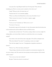Lucas gives Ken a hug, lifting his friend's feet off of the ground. "Okay, that's just

humiliating, man. Why do you always need to remind me of how tall you are."

I laugh. "I'll hug you, Ken. I'm shorter than you."

"Someone had to be," says Laurentina, laughing.

"I'll have you all know that Elisabet likes my short stature. She thinks it's sexy."

"There's someone for everyone," I say and try to suppress a giggle.

Lucas winks at me.

"Look at you two," Laurentina says. "Still as in love as ever."

"You know it," Lucas says.

Ken pretends to gag, but he has that glow of a man whose partner makes him chocolate cake on the weekends and he and his toddler have their own TikTok account.

Laurentina takes my hand in hers. "You both are coming to dinner at my house tonight. I'm making callaloo, your favorite, Marin. And then we can talk about when you too are getting married?"

Lucas chokes on the water he'd just taken a large gulp of. He and Ken exchanged a look.

"What about Sabaoke?" Ken asked. "I was planning a reunion tour tonight."

"Stew first then singing," Lucas says. "And apparently an inquisition somewhere in

between."

"Tell me," I say, "How's the family, and business?"

"All good things. Little John just had his art picked for an international competition. The new store is doing so well. The tourists have been enjoying our artisan experiences. We're booked solid for months."

"Are you sure you have time for dinner?"

She grins. "I always have time for you and Lucas."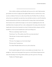## \*\*\*\*\*\*\*\*\*\*\*\*\*\*\*\*\*\*\*\*\*\*\*\*\*\*\*\*\*\*\*\*\*\*\*\*\*\*\*\*\*\*\*

After we finish our delicious meal, Ronaldo and Lucas go out for a walk. I help Laurentina get the littlest ones for bed. At eight pm, their neighbor Hilde comes by to watch the boys so they can join us at Sabaoke. The four of us walk to Scout's Place down The Road. The air is still warm, and my shoes are comfortable. Lucas sips from a beer and holds my hand as we walk. The island has already transformed him. His chinos are rolled up and he's wearing a black t-shirt from Ronaldo that's honestly a bit too small for him, though you won't catch me complaining about the fit. My mind flashes back to the plane and I have to take a calming breath. I'm wearing a festive dress that I bought earlier in the day from Laurentina's new shop. It's fuchsia and yellow and green, and I feel beautiful in it. I feel even more beautiful when I catch Lucas looking at me.

"What are you planning to sing?" Lucas asks.

"I don't know," I say. "We could do a duet. We've never done that before."

"I like that idea. I've always wanted to sing with you."

"You have?"

"Of course. Your singing is one of my favorite things."

"We always duet," Laurentina says.

"Love Shack!" Ronaldo hollers into the cover, and we all join him.

Scout's is packed tonight, and I watch as everyone lights up at the sight of Lucas -- the prodigal son-- back in town. Some people I know, greet me as well; I'd almost forgotten just how warm and welcoming it is here. We get drinks and find a spot with a good view of the stage.

"Endless love?" Ronaldo suggests.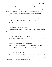Lucas and I both shake our heads. *No.* Picking a duet is harder than I expected. Half of the options in the book have a rapping component and while Lucas is musically and linguistically talented, rapping is not his jam (Ken's words). "What about *Beauty and the Beast*?" Ken says.

"Thanks a lot, friend." Lucas smiles and takes a sip of his beer. "I'm a beast now?" "I didn't say you."

"You better not have meant Marin. I'd like to not have to disown you tonight."

"Of course it's not Marin. She's a complete Belle. She's even into books."

"What about *Ain't No Mountain*?" Laurentina offers.

Lucas and I look at eachother. "That's it," I say.

"Yes. We're doing it. I'll go put it on the list."

"So, now that Lucas is out of earshot," Laurentina says. "We can all discuss the elephant in the room."

"Huh?"

"Why aren't you two married yet? It's been three years?"

"It's fine. We're good. We're totally committed to each other. I guess neither of us has really thought too much about it."

Laurentina fixes me with a look. "You've thought about it."

Had I pictured Lucas in a tuxedo and me in a gown, feeding each other cake, a top a mountain once or twice? Okay, yes, the dress had tiny organza butterflies that fluttered in the breeze and the cake had a limoncello drizzle. A hundred times. My face flushes.

"What's the hold up? Even Ken's settled."

"Not everyone wants or needs to get married, Laurentina," Ronaldo says. I think back to the walk that he and Lucas took after dinner and my mouth goes dry. "I don't mean me. I'm team happy wife, happy life. What I mean to say is stop pestering the girl."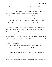"I'm not pestering. I'm just asking what Marin wants. If she doesn't want that, I will drop the subject."

Lucas arrives at the table and everyone gets quiet. He eyes us suspiciously. "What'd I miss? You all look very intense. What's up, is someone else doing Love Shack already?"

Behind him, the stage lights come on and the music starts. The DJ welcomes someone named Amanda to the stage. Amanda is in a sequined tube top and hot pants and based on her sunburn level was clearly a tourist. She has a group of friends who dance on stage while she belts out a rendition of "Truth Hurts" by Lizzo that is surprisingly good considering her level of inebriation. "What do you say, fam? Should we American Idol this?" Ken asks.

Laurentina gives her a 10. Knowing her and her generous spirit, she's giving everyone a 10. Ronaldo abstains. Ken makes a face and says, "A 3. And I'm being generous. Where is her flute? Where is her swagger? Just no."

Lucas and I give it a 7 out of 10. After that, Ken hustles up to the stage leans over the microphone and says "It's Britney, bitch." He then proceeds to bring the house down with "Oops, I Did it Again". I give it a 10, but Lucas is a harsh judge and holds up two fingers. I grab his hand and pull it down. "A 2?!" I cry over the music. "He was magnificent. Way better than our Lizzo wannabe. He deserves at least a 9."

"His choreography was sad. You can't pick a Britney song and not bring it 110%."

"Are you still mad about the beast comment?" I say, rubbing his arm.

"10!" Laurentina says.

"Okay, 9.5," Ronaldo concedes. "Lucas, you're the odd man out. And I thought you two were brothers."

"Our turn," Ronaldo says as the DJ calls their names. He takes Laurentina's hand and they head for the stage. Ten seconds into "Love Shack", and everyone in the place is on their feet. I snap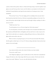a picture of them with my phone. They're so vibrant and loving, having so much fun together. Lucas glances at me and I look up at him. I want to ask if he thinks we can maintain a love like that, but I hold back. He steps behind me and wraps his arms around me as if sensing my nerves. I relax immediately.

"We were here," he says. "You were singing, and I was standing in this exact spot when I knew beyond any doubt that I loved you. My heart was practically pounding out of my chest. You came to life up there under the lights with the music and I thought I will give anything to be able to stay by your side."

"I didn't know that," I say.

"I took that picture of you, so I'd never forget how I felt in that moment."

I've seen the picture, on his desk at work. He keeps it next to the picture that Sadie took of Ba. Laurentina and Ronaldo finish to wild applause and Lucas and I move to take our spot on the stage. I let the words sink in as we sing them...nothing will keep me from you, I think, and let the lights and the music and love take over.

When we return to our group, they give us 10 out of 10s across the board. This moment, this life together on Saba? I give it a 10 out of 10. Only one thing could make it better and my heart squeezes a bit at the thought.

## \*\*\*\*\*\*\*\*\*\*\*\*\*\*\*\*\*\*\*\*\*\*\*\*\*\*\*\*\*\*\*\*\*\*\*\*\*\*\*\*\*\*\*

Lucas wakes me before sunrise with a brush of his lips on my bare shoulder.

"Let's go for a walk," he says.

And I oblige him, slipping on a pair of cutoffs and one of his t-shirts that I commandeered long ago. He feeds me a slice of ripe mango while I lace up my sneakers. I lick the juice from the corner of my mouth. "Delicious," I say, my voice still a little thick with sleep.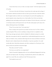"I know better than to ask you to hike on an empty stomach." And I know right away where we're going.

At the start of the trail to Mt. Scenery, I stop and trace the wooden sign with my fingers. I never wanted to climb that mountain, but that was where I got my first taste of what life could be like if I stepped outside my comfort zone. Lucas had gotten me up the trail by appealing to my proud, competitive nature, along with my love of mini muffins. Now, I'm the one that leads, grabbing his hand, and heading toward the path in the darkness. We don't talk much, we don't need to. I'm living in memory and the present all at once. We make steady progress up the steps, in the darkness following the beam of the flashlight.

"C'mon," he says when I slow, "we're nearly there."

Then we emerge at the top and I lose my breath. Not from worry. No. This is a different sensation altogether. When you know something is coming, but there's no trepidation or fear. There's hope and magic and maybe a little bit of disbelief. It's still dark, but ahead of us, twinkle lights shine warm against the dark sky, suspended from a small makeshift pergola that seems to be made out of bamboo. Gauzy, translucent fabric hangs from the structure and flutters in the breeze. Beneath it, there's a blanket littered with colorful pillows. I step closer, speechless. On a small wooden table, there's sliced fruits and pastries, and coffee, steaming hot in a French press. Lucas takes my hand in his and leads me beneath the lights.

"How did you do this?" I ask him.

"Let's just say you and I have very caring friends."

I think of Laurentina's badgering and the way Lucas and Ronaldo disappeared for that long walk and I can't help but smile. "It's amazing, so beautiful. But they did this in the middle of the night? It's too much. Why, why would they do that?" My heart paces faster.

"One hundred seventy-seven."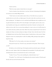I furrow my brow.

"That's how many sunrises I missed when we were apart."

I suck in a breath as Lucas sinks down to one knee. My heart is thrumming with anticipation now and my eyes are already filling with tears.

"I don't want to ever miss another sunrise with you. You're like the sun, you give me warmth and set my soul on fire, you help me grow. Every day I wake with you and want to see you before anything else. You helped me view he world and myself differently and you pulled me out of my grief and shared yours with me. We've been through so much together, and every day you are more beautiful, more loving, more wonderful than the day before. Honestly, I can't picture a life without you by my side. I love you more than anything. So, I want to ask you is if you'll be mine, for every sunrise and sunset, until the end of time. Marin Cole, nǐ yuàn yì jià gěi wǒ, ma?" Lucas starts to translate, but I drop to my knees and press my finger to his lips. I know what this means. Not from my Mandarin lessons, but from all the Taiwanese dramas I watched when we first moved to Taipei, desperate to learn every romantic phrase I could. I'm nodding, wildly, pressing my lips together to keep from crying.

"Wǒ yuànyì. Yes. Yes. Every sunrise, every sunset, every moment."

Tears pool in Lucas's eyes. "Good," he says, and reaches for his pocket. "Then I can give you this."

He holds out a box with the logo of his bespoke jewelry line and slowly opens it. My hands drift to my mouth. Against a black velvet background, the ring sparkles. It's yellow gold, crusted with diamonds the entire way around and in the center is a lustrous pearl.

"I made it," he says. "If you want something else, a diamond maybe, I can--"

"It's perfect," I say. And I mean it. Everything about this moment is perfect. I'd fond a pearl that day with Lucas and we'd found each other.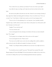"I'm so relieved," he says, and kisses my forehead. "It took a lot of tries to get it right."

Lucas slides the ring on my finger, and I swipe the tears from my cheeks with my other hand.

We settle onto the pillow and nestle into each other. Ahead of us, the morning is dawning. A deep copper slice of light turns blazing gold in the distance. I lean over and kiss Lucas. "I love you so much," I say. "I can't believe it. I didn't want to push you, but I've been hoping for this."

"I have too, love. I've been planning it for a very long time...I just, I probably should've bought the ring. I could've asked you much sooner. Turns out this project was a bit beyond my skill level. I had quite a few false starts."

I laughed. "It was worth the wait."

"*You* were worth the wait."

I rest my head against his chest, listening to the rhythm of his heart, my future husband's heart. "I'm so happy."

"You're going to be even happier, when I tell you the rest of the surprise."

I rest my head against his chest. "There's more?"

"Let's just say if you didn't want to wait to have the wedding, Felix would be available to walk you down the aisle. He called me last night; he's arriving in a few days."

"Finally," I say, feeling the distinct possibility that one iota more of joy might cause me to burst.

"So, what did you have in mind?" Lucas asks. "The beach? Next weekend? The yacht? Bungee jumping off Victoria Falls Bridge?" He has that mischievious twinkle in his eyes that I love, even when he's rattling off my top 10 most horrifying hypothetical adventure experiences.